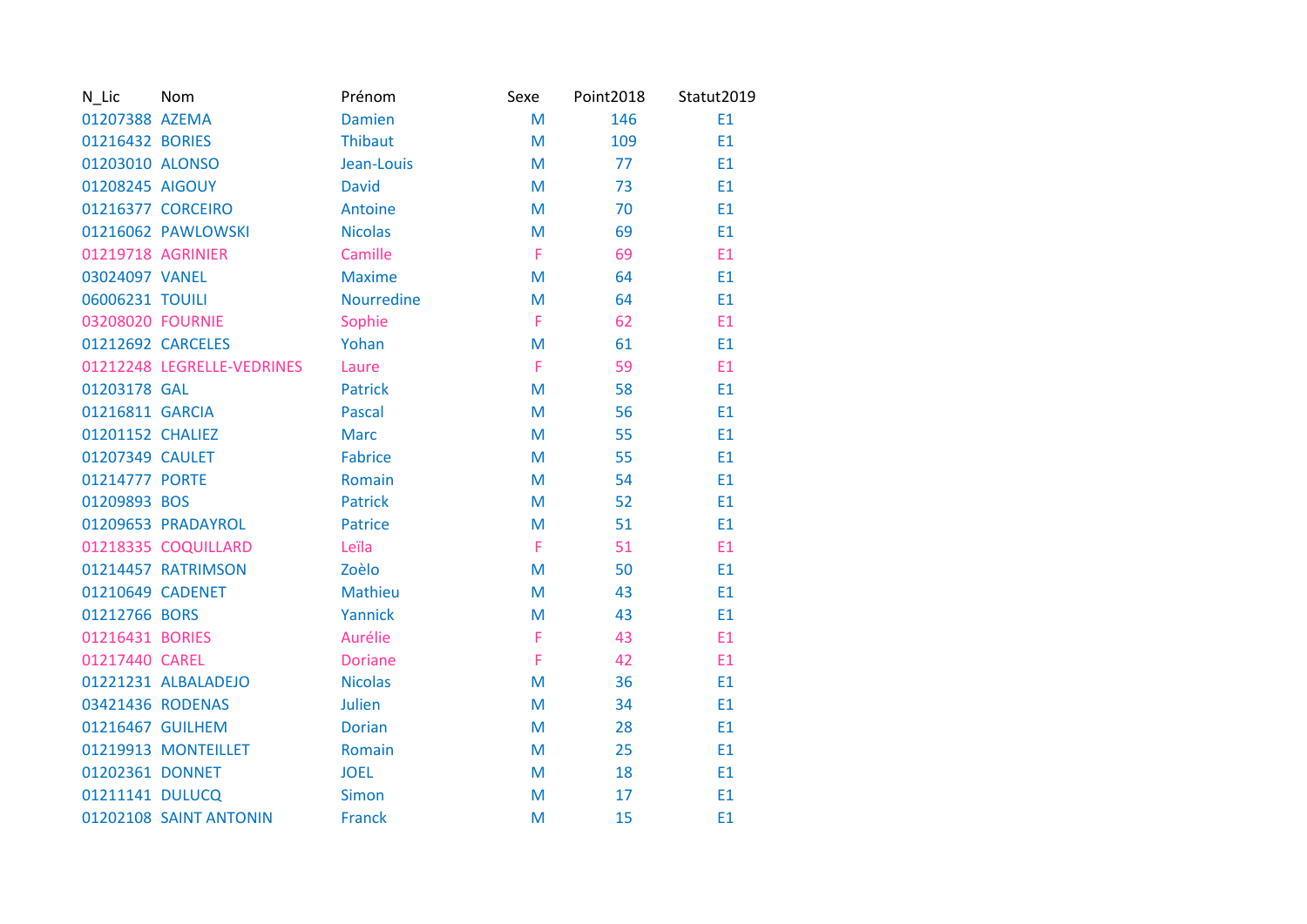| N_Lic             | Nom                        | Prénom         | Sexe | Point2018 | Statut2019     |
|-------------------|----------------------------|----------------|------|-----------|----------------|
| 01207388 AZEMA    |                            | <b>Damien</b>  | M    | 146       | E1             |
| 01216432 BORIES   |                            | <b>Thibaut</b> | M    | 109       | E1             |
| 01203010 ALONSO   |                            | Jean-Louis     | M    | 77        | E <sub>1</sub> |
| 01208245 AIGOUY   |                            | <b>David</b>   | M    | 73        | E1             |
|                   | 01216377 CORCEIRO          | Antoine        | M    | 70        | E1             |
|                   | 01216062 PAWLOWSKI         | <b>Nicolas</b> | M    | 69        | E <sub>1</sub> |
| 01219718 AGRINIER |                            | Camille        | F.   | 69        | E1             |
| 03024097 VANEL    |                            | <b>Maxime</b>  | M    | 64        | E1             |
| 06006231 TOUILI   |                            | Nourredine     | M    | 64        | E1             |
| 03208020 FOURNIE  |                            | Sophie         | F    | 62        | E1             |
|                   | 01212692 CARCELES          | Yohan          | M    | 61        | E1             |
|                   | 01212248 LEGRELLE-VEDRINES | Laure          | F    | 59        | E1             |
| 01203178 GAL      |                            | <b>Patrick</b> | M    | 58        | E1             |
| 01216811 GARCIA   |                            | Pascal         | M    | 56        | E1             |
| 01201152 CHALIEZ  |                            | <b>Marc</b>    | M    | 55        | E1             |
| 01207349 CAULET   |                            | <b>Fabrice</b> | M    | 55        | E1             |
| 01214777 PORTE    |                            | Romain         | M    | 54        | E <sub>1</sub> |
| 01209893 BOS      |                            | <b>Patrick</b> | M    | 52        | E <sub>1</sub> |
|                   | 01209653 PRADAYROL         | <b>Patrice</b> | M    | 51        | E1             |
|                   | 01218335 COQUILLARD        | Leïla          | F    | 51        | E1             |
|                   | 01214457 RATRIMSON         | Zoèlo          | M    | 50        | E1             |
| 01210649 CADENET  |                            | Mathieu        | M    | 43        | E <sub>1</sub> |
| 01212766 BORS     |                            | Yannick        | M    | 43        | E1             |
| 01216431 BORIES   |                            | Aurélie        | F    | 43        | E1             |
| 01217440 CAREL    |                            | <b>Doriane</b> | F    | 42        | E1             |
|                   | 01221231 ALBALADEJO        | <b>Nicolas</b> | M    | 36        | E1             |
| 03421436 RODENAS  |                            | <b>Julien</b>  | M    | 34        | E1             |
| 01216467 GUILHEM  |                            | <b>Dorian</b>  | M    | 28        | E1             |
|                   | 01219913 MONTEILLET        | Romain         | M    | 25        | E1             |
| 01202361 DONNET   |                            | <b>JOEL</b>    | M    | 18        | E1             |
| 01211141 DULUCQ   |                            | <b>Simon</b>   | M    | 17        | E1             |
|                   | 01202108 SAINT ANTONIN     | <b>Franck</b>  | M    | 15        | E1             |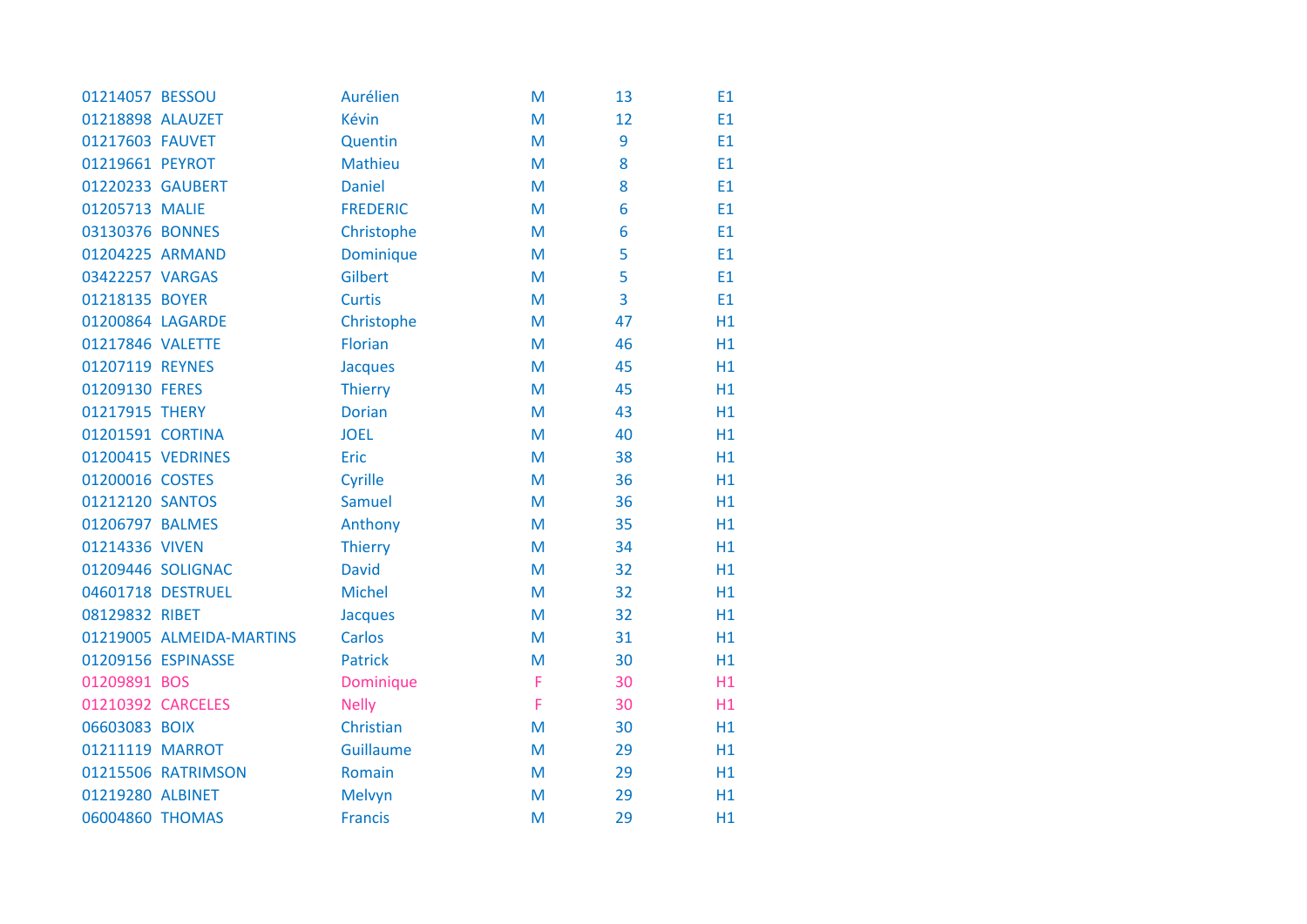| 01214057 BESSOU  |                          | Aurélien        | M | 13 | E1             |
|------------------|--------------------------|-----------------|---|----|----------------|
| 01218898 ALAUZET |                          | Kévin           | M | 12 | E1             |
| 01217603 FAUVET  |                          | Quentin         | M | 9  | E1             |
| 01219661 PEYROT  |                          | Mathieu         | M | 8  | E <sub>1</sub> |
|                  | 01220233 GAUBERT         | <b>Daniel</b>   | M | 8  | E1             |
| 01205713 MALIE   |                          | <b>FREDERIC</b> | M | 6  | E1             |
| 03130376 BONNES  |                          | Christophe      | M | 6  | E1             |
| 01204225 ARMAND  |                          | Dominique       | M | 5  | E1             |
| 03422257 VARGAS  |                          | Gilbert         | M | 5  | E1             |
| 01218135 BOYER   |                          | <b>Curtis</b>   | M | 3  | E1             |
| 01200864 LAGARDE |                          | Christophe      | M | 47 | H1             |
| 01217846 VALETTE |                          | Florian         | M | 46 | H1             |
| 01207119 REYNES  |                          | Jacques         | M | 45 | H1             |
| 01209130 FERES   |                          | <b>Thierry</b>  | M | 45 | H1             |
| 01217915 THERY   |                          | <b>Dorian</b>   | M | 43 | H1             |
| 01201591 CORTINA |                          | <b>JOEL</b>     | M | 40 | H1             |
|                  | 01200415 VEDRINES        | Eric            | M | 38 | H1             |
| 01200016 COSTES  |                          | Cyrille         | M | 36 | H1             |
| 01212120 SANTOS  |                          | <b>Samuel</b>   | M | 36 | H1             |
| 01206797 BALMES  |                          | Anthony         | M | 35 | H1             |
| 01214336 VIVEN   |                          | <b>Thierry</b>  | M | 34 | H1             |
|                  | 01209446 SOLIGNAC        | <b>David</b>    | M | 32 | H1             |
|                  | 04601718 DESTRUEL        | <b>Michel</b>   | M | 32 | H1             |
| 08129832 RIBET   |                          | <b>Jacques</b>  | M | 32 | H1             |
|                  | 01219005 ALMEIDA-MARTINS | <b>Carlos</b>   | M | 31 | H1             |
|                  | 01209156 ESPINASSE       | <b>Patrick</b>  | M | 30 | H1             |
| 01209891 BOS     |                          | Dominique       | F | 30 | H1             |
|                  | 01210392 CARCELES        | <b>Nelly</b>    | F | 30 | H1             |
| 06603083 BOIX    |                          | Christian       | M | 30 | H1             |
| 01211119 MARROT  |                          | Guillaume       | M | 29 | H1             |
|                  | 01215506 RATRIMSON       | Romain          | M | 29 | H1             |
| 01219280 ALBINET |                          | Melvyn          | M | 29 | H1             |
| 06004860 THOMAS  |                          | <b>Francis</b>  | M | 29 | H1             |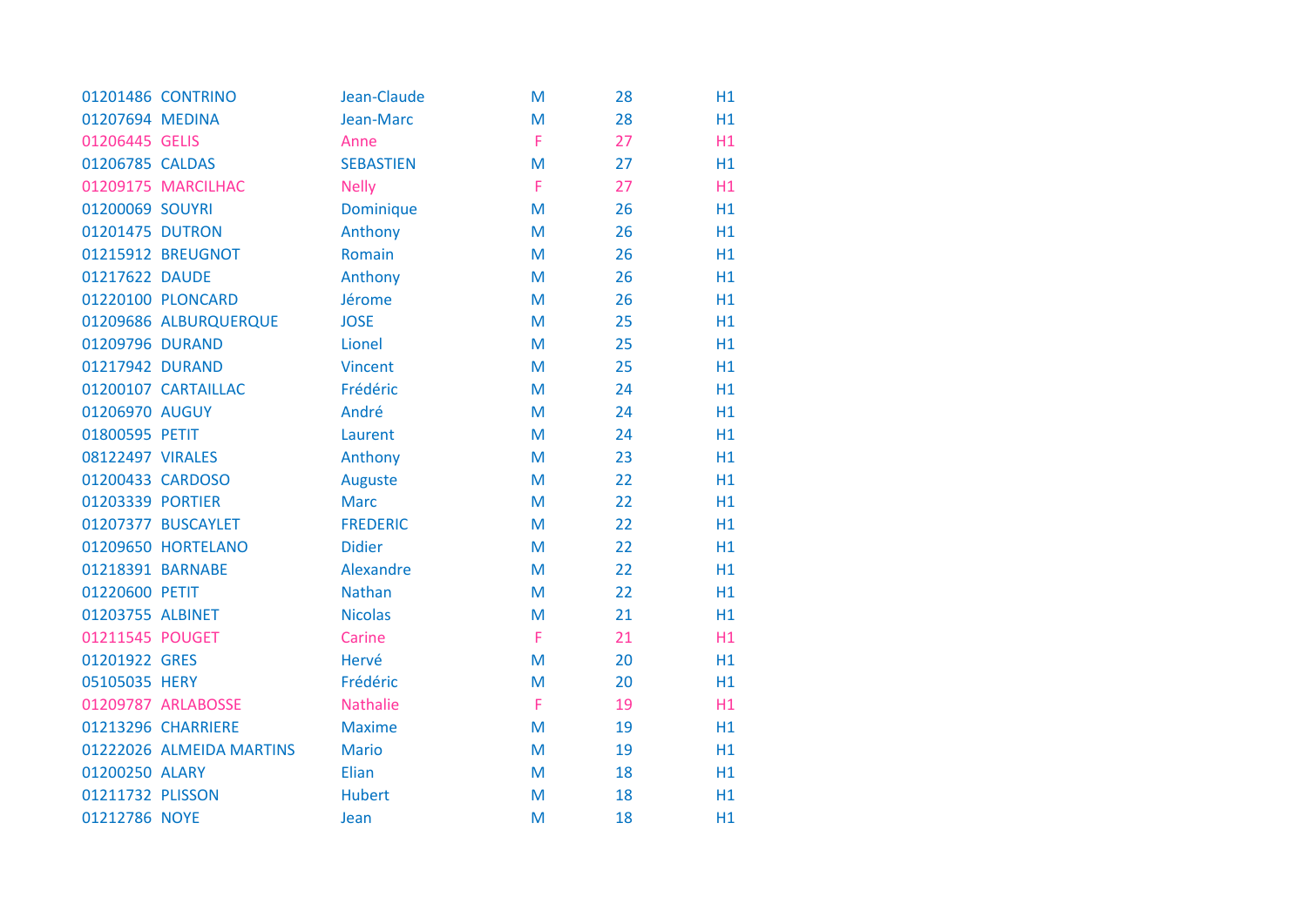|                  | 01201486 CONTRINO        | Jean-Claude      | M | 28 | H1 |
|------------------|--------------------------|------------------|---|----|----|
| 01207694 MEDINA  |                          | Jean-Marc        | M | 28 | H1 |
| 01206445 GELIS   |                          | Anne             | F | 27 | H1 |
| 01206785 CALDAS  |                          | <b>SEBASTIEN</b> | M | 27 | H1 |
|                  | 01209175 MARCILHAC       | <b>Nelly</b>     | F | 27 | H1 |
| 01200069 SOUYRI  |                          | <b>Dominique</b> | M | 26 | H1 |
| 01201475 DUTRON  |                          | Anthony          | M | 26 | H1 |
|                  | 01215912 BREUGNOT        | Romain           | M | 26 | H1 |
| 01217622 DAUDE   |                          | Anthony          | M | 26 | H1 |
|                  | 01220100 PLONCARD        | Jérome           | M | 26 | H1 |
|                  | 01209686 ALBURQUERQUE    | <b>JOSE</b>      | M | 25 | H1 |
| 01209796 DURAND  |                          | Lionel           | M | 25 | H1 |
| 01217942 DURAND  |                          | <b>Vincent</b>   | M | 25 | H1 |
|                  | 01200107 CARTAILLAC      | Frédéric         | M | 24 | H1 |
| 01206970 AUGUY   |                          | André            | M | 24 | H1 |
| 01800595 PETIT   |                          | Laurent          | M | 24 | H1 |
| 08122497 VIRALES |                          | Anthony          | M | 23 | H1 |
|                  | 01200433 CARDOSO         | Auguste          | M | 22 | H1 |
| 01203339 PORTIER |                          | <b>Marc</b>      | M | 22 | H1 |
|                  | 01207377 BUSCAYLET       | <b>FREDERIC</b>  | M | 22 | H1 |
|                  | 01209650 HORTELANO       | <b>Didier</b>    | M | 22 | H1 |
| 01218391 BARNABE |                          | Alexandre        | M | 22 | H1 |
| 01220600 PETIT   |                          | <b>Nathan</b>    | M | 22 | H1 |
| 01203755 ALBINET |                          | <b>Nicolas</b>   | M | 21 | H1 |
| 01211545 POUGET  |                          | Carine           | F | 21 | H1 |
| 01201922 GRES    |                          | Hervé            | M | 20 | H1 |
| 05105035 HERY    |                          | Frédéric         | M | 20 | H1 |
|                  | 01209787 ARLABOSSE       | <b>Nathalie</b>  | F | 19 | H1 |
|                  | 01213296 CHARRIERE       | <b>Maxime</b>    | M | 19 | H1 |
|                  | 01222026 ALMEIDA MARTINS | <b>Mario</b>     | M | 19 | H1 |
| 01200250 ALARY   |                          | Elian            | M | 18 | H1 |
| 01211732 PLISSON |                          | <b>Hubert</b>    | M | 18 | H1 |
| 01212786 NOYE    |                          | Jean             | M | 18 | H1 |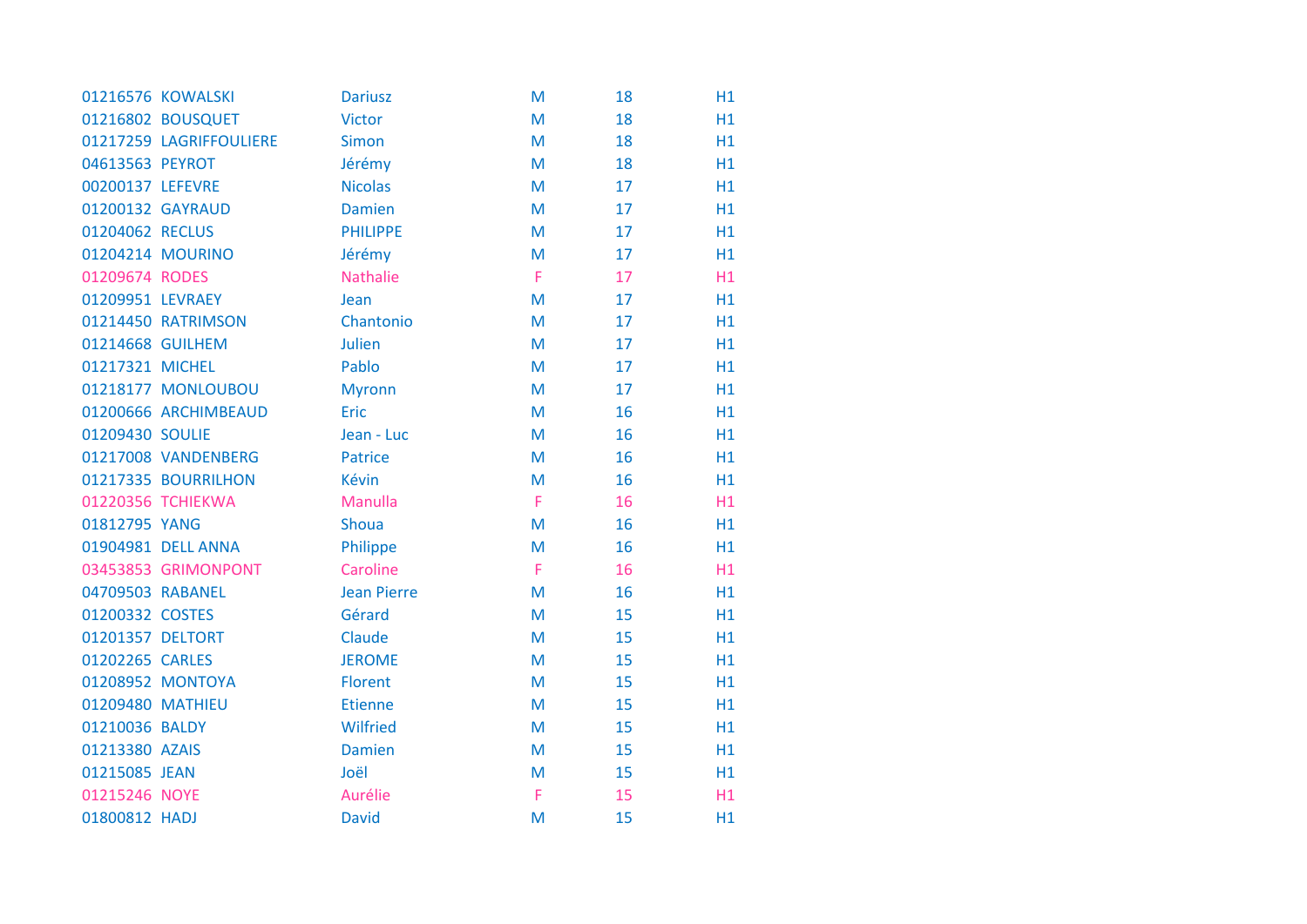|                  | 01216576 KOWALSKI       | <b>Dariusz</b>     | M | 18 | H1 |
|------------------|-------------------------|--------------------|---|----|----|
|                  | 01216802 BOUSQUET       | <b>Victor</b>      | M | 18 | H1 |
|                  | 01217259 LAGRIFFOULIERE | <b>Simon</b>       | M | 18 | H1 |
| 04613563 PEYROT  |                         | Jérémy             | M | 18 | H1 |
| 00200137 LEFEVRE |                         | <b>Nicolas</b>     | M | 17 | H1 |
|                  | 01200132 GAYRAUD        | <b>Damien</b>      | M | 17 | H1 |
| 01204062 RECLUS  |                         | <b>PHILIPPE</b>    | M | 17 | H1 |
|                  | 01204214 MOURINO        | Jérémy             | M | 17 | H1 |
| 01209674 RODES   |                         | <b>Nathalie</b>    | F | 17 | H1 |
| 01209951 LEVRAEY |                         | Jean               | M | 17 | H1 |
|                  | 01214450 RATRIMSON      | Chantonio          | M | 17 | H1 |
| 01214668 GUILHEM |                         | <b>Julien</b>      | M | 17 | H1 |
| 01217321 MICHEL  |                         | Pablo              | M | 17 | H1 |
|                  | 01218177 MONLOUBOU      | <b>Myronn</b>      | M | 17 | H1 |
|                  | 01200666 ARCHIMBEAUD    | Eric               | M | 16 | H1 |
| 01209430 SOULIE  |                         | Jean - Luc         | M | 16 | H1 |
|                  | 01217008 VANDENBERG     | <b>Patrice</b>     | M | 16 | H1 |
|                  | 01217335 BOURRILHON     | <b>Kévin</b>       | M | 16 | H1 |
|                  | 01220356 TCHIEKWA       | Manulla            | F | 16 | H1 |
| 01812795 YANG    |                         | <b>Shoua</b>       | M | 16 | H1 |
|                  | 01904981 DELL ANNA      | Philippe           | M | 16 | H1 |
|                  | 03453853 GRIMONPONT     | Caroline           | F | 16 | H1 |
| 04709503 RABANEL |                         | <b>Jean Pierre</b> | M | 16 | H1 |
| 01200332 COSTES  |                         | Gérard             | M | 15 | H1 |
| 01201357 DELTORT |                         | Claude             | M | 15 | H1 |
| 01202265 CARLES  |                         | <b>JEROME</b>      | M | 15 | H1 |
|                  | 01208952 MONTOYA        | <b>Florent</b>     | M | 15 | H1 |
| 01209480 MATHIEU |                         | <b>Etienne</b>     | M | 15 | H1 |
| 01210036 BALDY   |                         | <b>Wilfried</b>    | M | 15 | H1 |
| 01213380 AZAIS   |                         | <b>Damien</b>      | M | 15 | H1 |
| 01215085 JEAN    |                         | Joël               | M | 15 | H1 |
| 01215246 NOYE    |                         | Aurélie            | F | 15 | H1 |
| 01800812 HADJ    |                         | <b>David</b>       | M | 15 | H1 |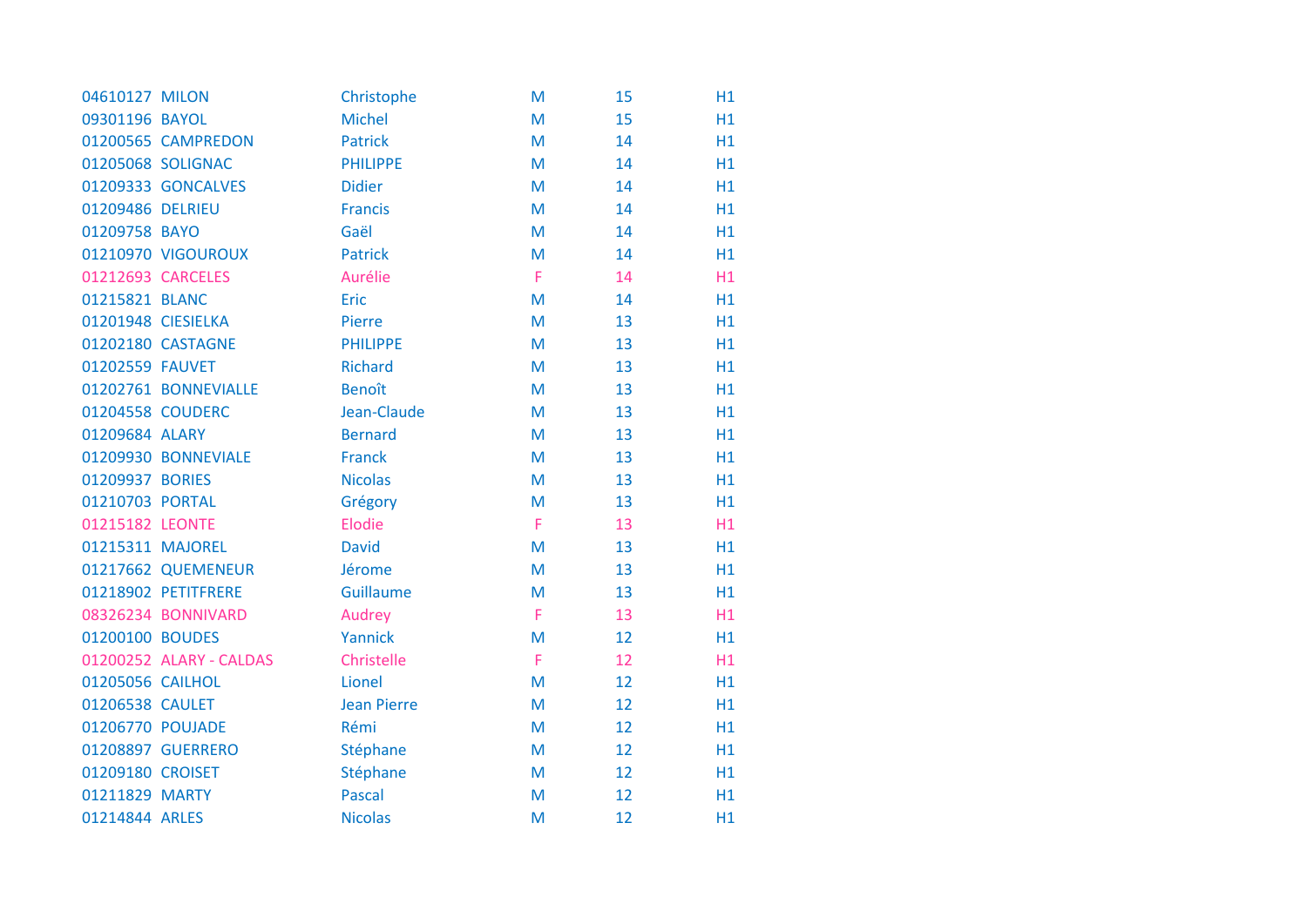| 04610127 MILON     |                         | Christophe         | M | 15 | H1 |
|--------------------|-------------------------|--------------------|---|----|----|
| 09301196 BAYOL     |                         | <b>Michel</b>      | M | 15 | H1 |
|                    | 01200565 CAMPREDON      | <b>Patrick</b>     | M | 14 | H1 |
|                    | 01205068 SOLIGNAC       | <b>PHILIPPE</b>    | M | 14 | H1 |
|                    | 01209333 GONCALVES      | <b>Didier</b>      | M | 14 | H1 |
| 01209486 DELRIEU   |                         | <b>Francis</b>     | M | 14 | H1 |
| 01209758 BAYO      |                         | Gaël               | M | 14 | H1 |
|                    | 01210970 VIGOUROUX      | <b>Patrick</b>     | M | 14 | H1 |
| 01212693 CARCELES  |                         | Aurélie            | F | 14 | H1 |
| 01215821 BLANC     |                         | Eric               | M | 14 | H1 |
| 01201948 CIESIELKA |                         | Pierre             | M | 13 | H1 |
|                    | 01202180 CASTAGNE       | <b>PHILIPPE</b>    | M | 13 | H1 |
| 01202559 FAUVET    |                         | <b>Richard</b>     | M | 13 | H1 |
|                    | 01202761 BONNEVIALLE    | <b>Benoît</b>      | M | 13 | H1 |
| 01204558 COUDERC   |                         | Jean-Claude        | M | 13 | H1 |
| 01209684 ALARY     |                         | <b>Bernard</b>     | M | 13 | H1 |
|                    | 01209930 BONNEVIALE     | <b>Franck</b>      | M | 13 | H1 |
| 01209937 BORIES    |                         | <b>Nicolas</b>     | M | 13 | H1 |
| 01210703 PORTAL    |                         | Grégory            | M | 13 | H1 |
| 01215182 LEONTE    |                         | Elodie             | F | 13 | H1 |
| 01215311 MAJOREL   |                         | <b>David</b>       | M | 13 | H1 |
|                    | 01217662 QUEMENEUR      | Jérome             | M | 13 | H1 |
|                    | 01218902 PETITFRERE     | Guillaume          | M | 13 | H1 |
|                    | 08326234 BONNIVARD      | Audrey             | F | 13 | H1 |
| 01200100 BOUDES    |                         | Yannick            | M | 12 | H1 |
|                    | 01200252 ALARY - CALDAS | Christelle         | F | 12 | H1 |
| 01205056 CAILHOL   |                         | Lionel             | M | 12 | H1 |
| 01206538 CAULET    |                         | <b>Jean Pierre</b> | M | 12 | H1 |
| 01206770 POUJADE   |                         | Rémi               | M | 12 | H1 |
|                    | 01208897 GUERRERO       | Stéphane           | M | 12 | H1 |
| 01209180 CROISET   |                         | Stéphane           | M | 12 | H1 |
| 01211829 MARTY     |                         | <b>Pascal</b>      | M | 12 | H1 |
| 01214844 ARLES     |                         | <b>Nicolas</b>     | M | 12 | H1 |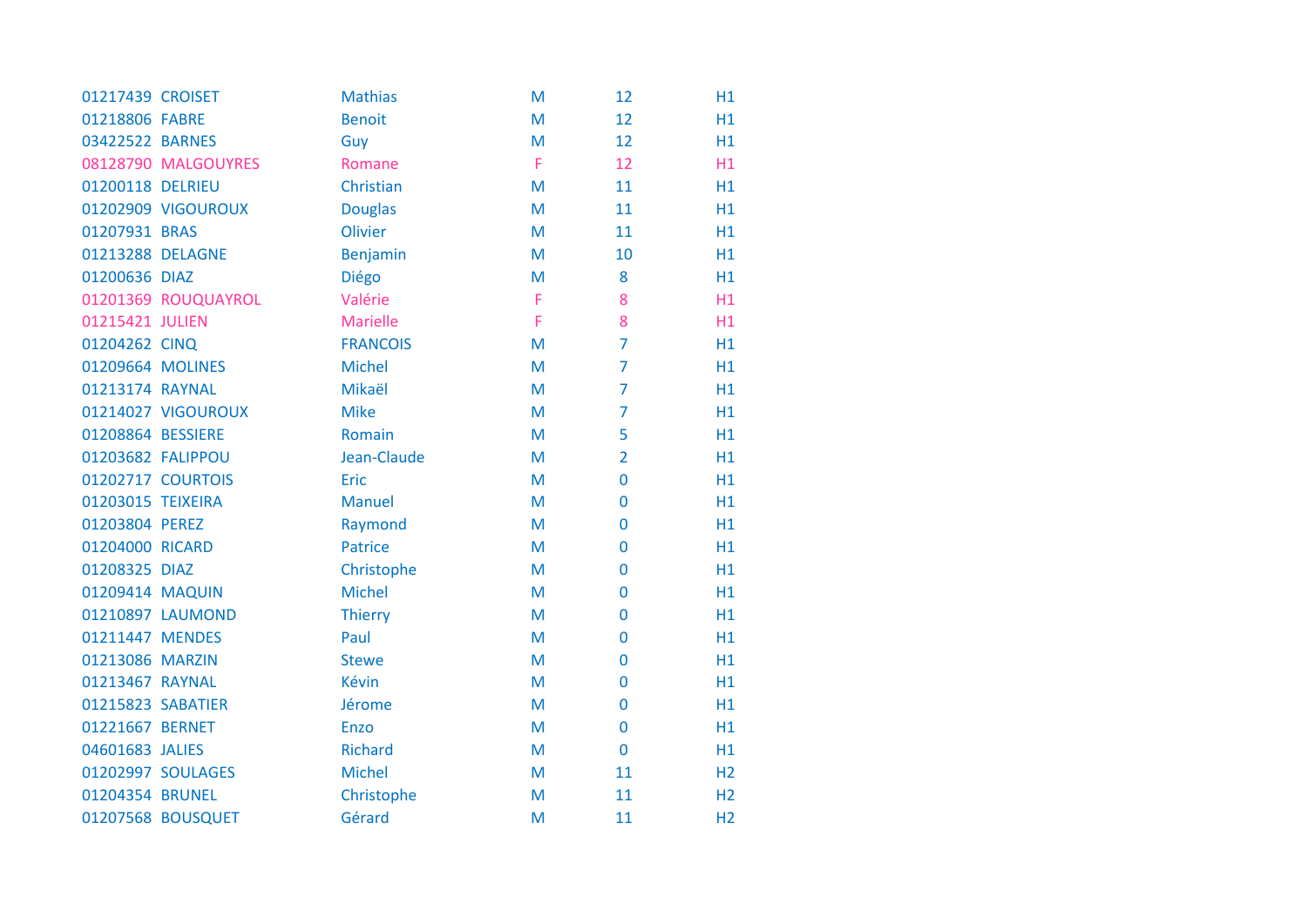| 01217439 CROISET  |                     | <b>Mathias</b>  | M | 12             | H1             |
|-------------------|---------------------|-----------------|---|----------------|----------------|
| 01218806 FABRE    |                     | <b>Benoit</b>   | M | 12             | H1             |
| 03422522 BARNES   |                     | Guy             | M | 12             | H1             |
|                   | 08128790 MALGOUYRES | Romane          | F | 12             | H1             |
| 01200118 DELRIEU  |                     | Christian       | M | 11             | H1             |
|                   | 01202909 VIGOUROUX  | <b>Douglas</b>  | M | 11             | H1             |
| 01207931 BRAS     |                     | Olivier         | M | 11             | H1             |
| 01213288 DELAGNE  |                     | <b>Benjamin</b> | M | 10             | H1             |
| 01200636 DIAZ     |                     | Diégo           | M | 8              | H1             |
|                   | 01201369 ROUQUAYROL | Valérie         | Ë | 8              | H1             |
| 01215421 JULIEN   |                     | <b>Marielle</b> | F | 8              | H1             |
| 01204262 CINQ     |                     | <b>FRANCOIS</b> | M | $\overline{7}$ | H1             |
| 01209664 MOLINES  |                     | <b>Michel</b>   | M | $\overline{7}$ | H1             |
| 01213174 RAYNAL   |                     | Mikaël          | M | $\overline{7}$ | H1             |
|                   | 01214027 VIGOUROUX  | <b>Mike</b>     | M | $\overline{7}$ | H1             |
| 01208864 BESSIERE |                     | Romain          | M | 5              | H1             |
| 01203682 FALIPPOU |                     | Jean-Claude     | M | $\overline{2}$ | H1             |
|                   | 01202717 COURTOIS   | Eric            | M | $\overline{0}$ | H1             |
| 01203015 TEIXEIRA |                     | <b>Manuel</b>   | M | 0              | H1             |
| 01203804 PEREZ    |                     | Raymond         | M | 0              | H1             |
| 01204000 RICARD   |                     | <b>Patrice</b>  | M | 0              | H1             |
| 01208325 DIAZ     |                     | Christophe      | M | 0              | H1             |
| 01209414 MAQUIN   |                     | <b>Michel</b>   | M | 0              | H1             |
|                   | 01210897 LAUMOND    | <b>Thierry</b>  | M | 0              | H1             |
| 01211447 MENDES   |                     | Paul            | M | 0              | H1             |
| 01213086 MARZIN   |                     | <b>Stewe</b>    | M | $\overline{0}$ | H1             |
| 01213467 RAYNAL   |                     | Kévin           | M | 0              | H1             |
| 01215823 SABATIER |                     | Jérome          | M | 0              | H1             |
| 01221667 BERNET   |                     | Enzo            | M | $\overline{0}$ | H1             |
| 04601683 JALIES   |                     | <b>Richard</b>  | M | $\mathbf 0$    | H1             |
|                   | 01202997 SOULAGES   | <b>Michel</b>   | M | 11             | H <sub>2</sub> |
| 01204354 BRUNEL   |                     | Christophe      | M | 11             | H <sub>2</sub> |
|                   | 01207568 BOUSQUET   | Gérard          | M | 11             | H <sub>2</sub> |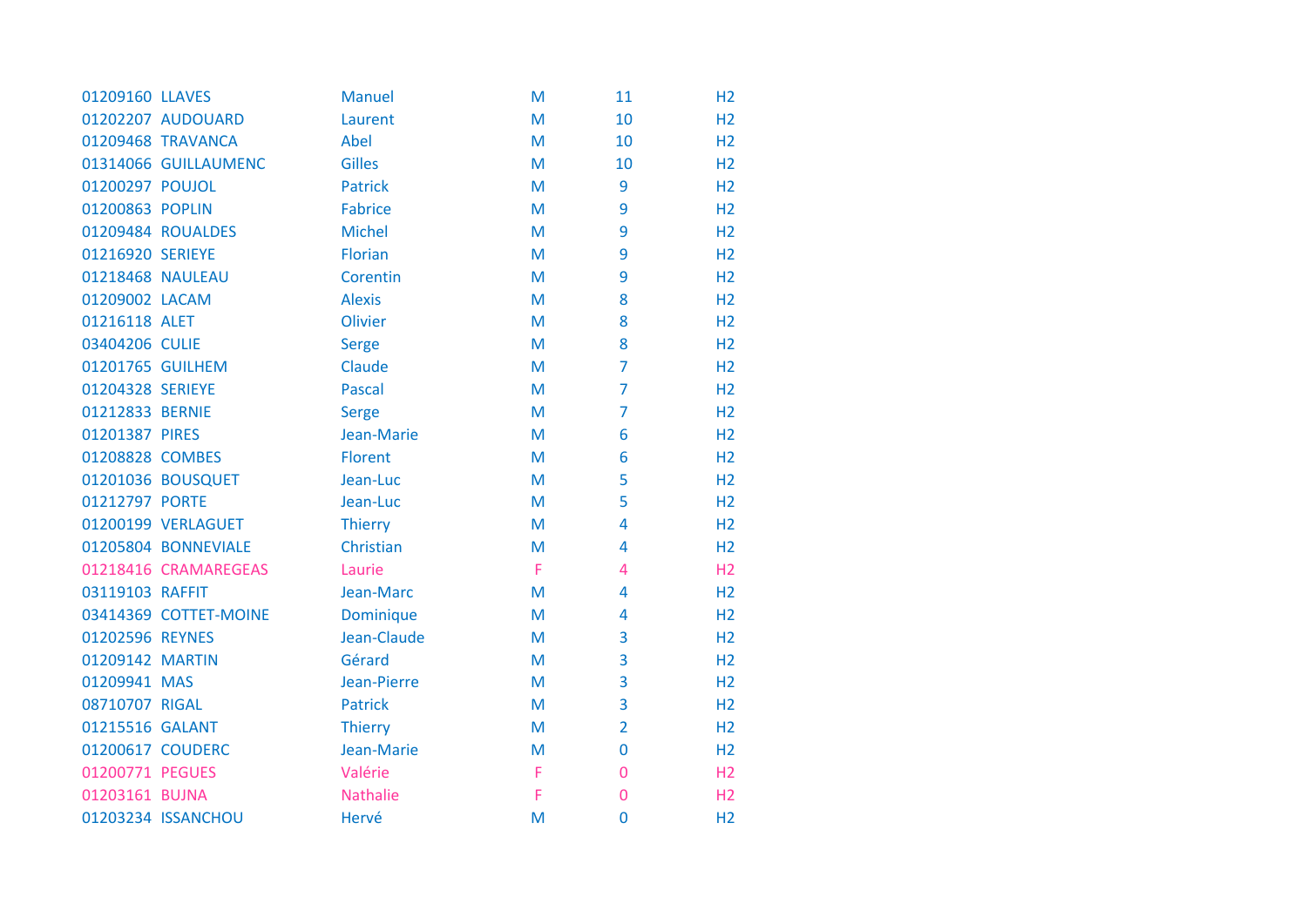| 01209160 LLAVES  |                       | <b>Manuel</b>    | M | 11             | H <sub>2</sub> |
|------------------|-----------------------|------------------|---|----------------|----------------|
|                  | 01202207 AUDOUARD     | Laurent          | M | 10             | H <sub>2</sub> |
|                  | 01209468 TRAVANCA     | Abel             | M | 10             | H <sub>2</sub> |
|                  | 01314066 GUILLAUMENC  | <b>Gilles</b>    | M | 10             | H <sub>2</sub> |
| 01200297 POUJOL  |                       | <b>Patrick</b>   | M | 9              | H <sub>2</sub> |
| 01200863 POPLIN  |                       | <b>Fabrice</b>   | M | 9              | H <sub>2</sub> |
|                  | 01209484 ROUALDES     | <b>Michel</b>    | M | 9              | H <sub>2</sub> |
| 01216920 SERIEYE |                       | Florian          | M | 9              | H <sub>2</sub> |
|                  | 01218468 NAULEAU      | Corentin         | M | 9              | H <sub>2</sub> |
| 01209002 LACAM   |                       | <b>Alexis</b>    | M | 8              | H <sub>2</sub> |
| 01216118 ALET    |                       | Olivier          | M | 8              | H <sub>2</sub> |
| 03404206 CULIE   |                       | <b>Serge</b>     | M | 8              | H <sub>2</sub> |
|                  | 01201765 GUILHEM      | Claude           | M | $\overline{7}$ | H <sub>2</sub> |
| 01204328 SERIEYE |                       | <b>Pascal</b>    | M | $\overline{7}$ | H <sub>2</sub> |
| 01212833 BERNIE  |                       | <b>Serge</b>     | M | $\overline{7}$ | H <sub>2</sub> |
| 01201387 PIRES   |                       | Jean-Marie       | M | 6              | H <sub>2</sub> |
| 01208828 COMBES  |                       | Florent          | M | 6              | H <sub>2</sub> |
|                  | 01201036 BOUSQUET     | Jean-Luc         | M | 5              | H <sub>2</sub> |
| 01212797 PORTE   |                       | Jean-Luc         | M | 5              | H <sub>2</sub> |
|                  | 01200199 VERLAGUET    | <b>Thierry</b>   | M | 4              | H <sub>2</sub> |
|                  | 01205804 BONNEVIALE   | Christian        | M | 4              | H <sub>2</sub> |
|                  | 01218416 CRAMAREGEAS  | Laurie           | F | 4              | H <sub>2</sub> |
| 03119103 RAFFIT  |                       | Jean-Marc        | M | 4              | H <sub>2</sub> |
|                  | 03414369 COTTET-MOINE | <b>Dominique</b> | M | 4              | H <sub>2</sub> |
| 01202596 REYNES  |                       | Jean-Claude      | M | 3              | H <sub>2</sub> |
| 01209142 MARTIN  |                       | Gérard           | M | 3              | H <sub>2</sub> |
| 01209941 MAS     |                       | Jean-Pierre      | M | 3              | H <sub>2</sub> |
| 08710707 RIGAL   |                       | <b>Patrick</b>   | M | 3              | H <sub>2</sub> |
| 01215516 GALANT  |                       | <b>Thierry</b>   | M | $\overline{2}$ | H <sub>2</sub> |
|                  | 01200617 COUDERC      | Jean-Marie       | M | $\mathbf 0$    | H <sub>2</sub> |
| 01200771 PEGUES  |                       | Valérie          | F | 0              | H <sub>2</sub> |
| 01203161 BUJNA   |                       | Nathalie         | F | $\overline{0}$ | H <sub>2</sub> |
|                  | 01203234 ISSANCHOU    | Hervé            | M | $\mathbf 0$    | H <sub>2</sub> |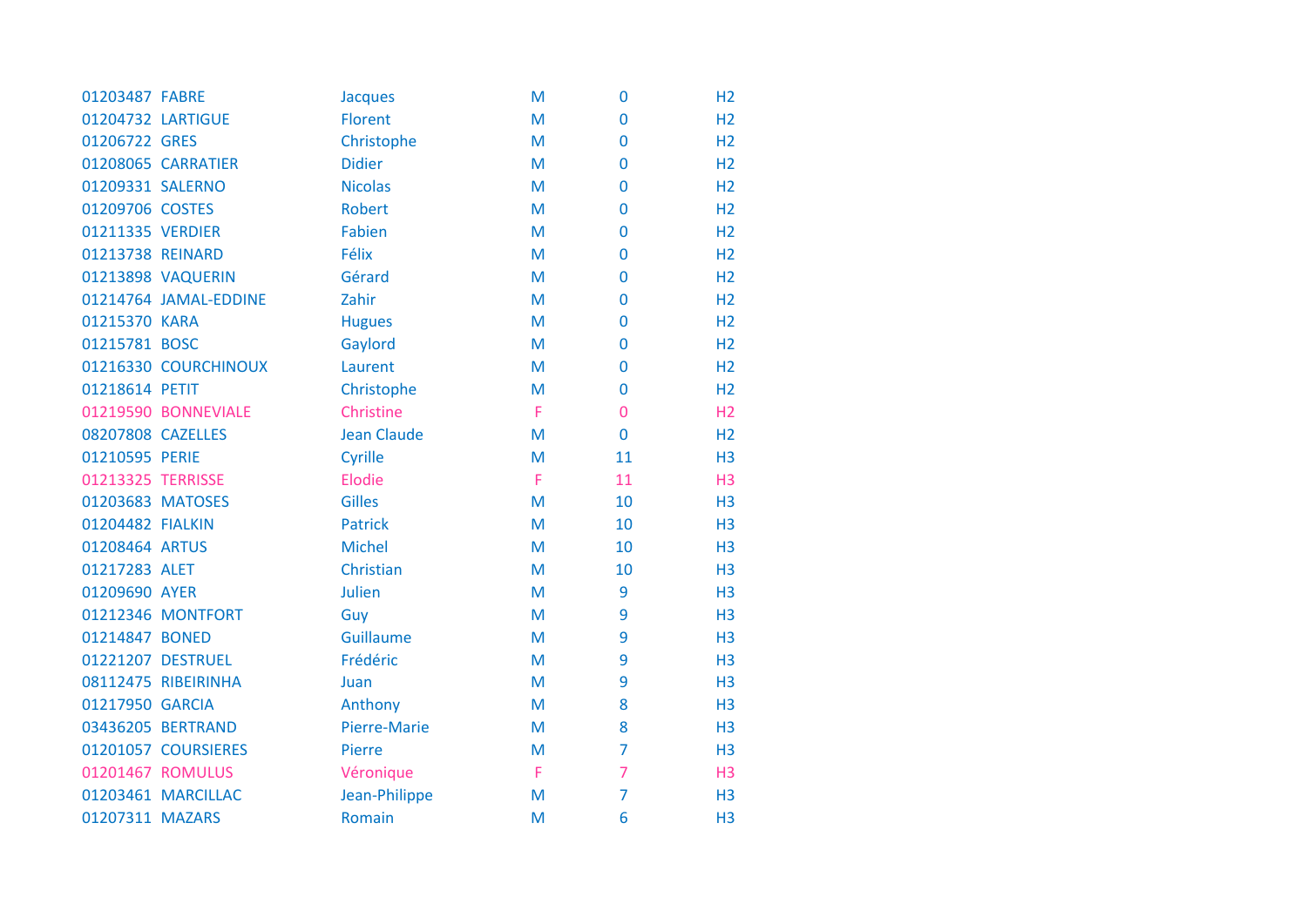| 01203487 FABRE    |                       | <b>Jacques</b>     | M | $\bf{0}$       | H <sub>2</sub> |
|-------------------|-----------------------|--------------------|---|----------------|----------------|
| 01204732 LARTIGUE |                       | <b>Florent</b>     | M | $\bf{0}$       | H <sub>2</sub> |
| 01206722 GRES     |                       | Christophe         | M | $\mathbf 0$    | H <sub>2</sub> |
|                   | 01208065 CARRATIER    | <b>Didier</b>      | M | $\mathbf 0$    | H <sub>2</sub> |
| 01209331 SALERNO  |                       | <b>Nicolas</b>     | M | $\mathbf 0$    | H <sub>2</sub> |
| 01209706 COSTES   |                       | <b>Robert</b>      | M | $\mathbf 0$    | H <sub>2</sub> |
| 01211335 VERDIER  |                       | Fabien             | M | $\mathbf 0$    | H <sub>2</sub> |
| 01213738 REINARD  |                       | Félix              | M | $\mathbf 0$    | H <sub>2</sub> |
|                   | 01213898 VAQUERIN     | Gérard             | M | 0              | H <sub>2</sub> |
|                   | 01214764 JAMAL-EDDINE | Zahir              | M | $\mathbf 0$    | H <sub>2</sub> |
| 01215370 KARA     |                       | <b>Hugues</b>      | M | $\bf{0}$       | H <sub>2</sub> |
| 01215781 BOSC     |                       | Gaylord            | M | $\mathbf 0$    | H <sub>2</sub> |
|                   | 01216330 COURCHINOUX  | Laurent            | M | $\mathbf 0$    | H <sub>2</sub> |
| 01218614 PETIT    |                       | Christophe         | M | $\mathbf 0$    | H <sub>2</sub> |
|                   | 01219590 BONNEVIALE   | Christine          | F | $\overline{0}$ | H2             |
| 08207808 CAZELLES |                       | <b>Jean Claude</b> | M | $\mathbf 0$    | H <sub>2</sub> |
| 01210595 PERIE    |                       | Cyrille            | M | 11             | H <sub>3</sub> |
| 01213325 TERRISSE |                       | Elodie             | F | 11             | H <sub>3</sub> |
| 01203683 MATOSES  |                       | <b>Gilles</b>      | M | 10             | H <sub>3</sub> |
| 01204482 FIALKIN  |                       | <b>Patrick</b>     | M | 10             | H <sub>3</sub> |
| 01208464 ARTUS    |                       | <b>Michel</b>      | M | 10             | H <sub>3</sub> |
| 01217283 ALET     |                       | Christian          | M | 10             | H <sub>3</sub> |
| 01209690 AYER     |                       | <b>Julien</b>      | M | 9              | H <sub>3</sub> |
|                   | 01212346 MONTFORT     | Guy                | M | 9              | H <sub>3</sub> |
| 01214847 BONED    |                       | Guillaume          | M | 9              | H <sub>3</sub> |
|                   | 01221207 DESTRUEL     | Frédéric           | M | 9              | H <sub>3</sub> |
|                   | 08112475 RIBEIRINHA   | Juan               | M | 9              | H <sub>3</sub> |
| 01217950 GARCIA   |                       | Anthony            | M | 8              | H <sub>3</sub> |
|                   | 03436205 BERTRAND     | Pierre-Marie       | M | 8              | H <sub>3</sub> |
|                   | 01201057 COURSIERES   | Pierre             | M | $\overline{7}$ | H <sub>3</sub> |
|                   | 01201467 ROMULUS      | Véronique          | F | $\overline{7}$ | H <sub>3</sub> |
|                   | 01203461 MARCILLAC    | Jean-Philippe      | M | $\overline{7}$ | H <sub>3</sub> |
| 01207311 MAZARS   |                       | Romain             | M | 6              | H <sub>3</sub> |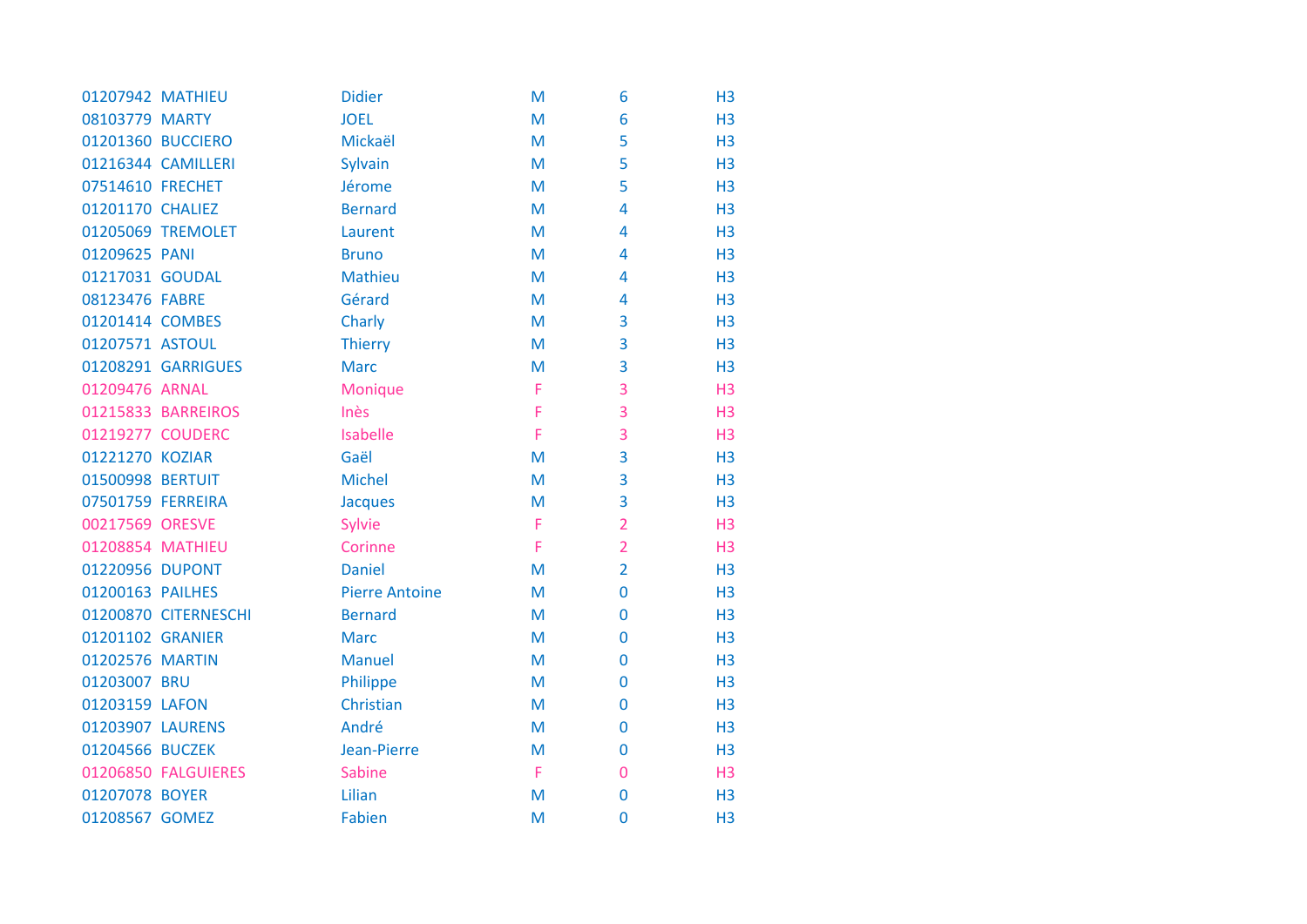| 01207942 MATHIEU  |                      | <b>Didier</b>         | M | 6              | H <sub>3</sub> |
|-------------------|----------------------|-----------------------|---|----------------|----------------|
| 08103779 MARTY    |                      | <b>JOEL</b>           | M | 6              | H <sub>3</sub> |
|                   | 01201360 BUCCIERO    | Mickaël               | M | 5              | H <sub>3</sub> |
|                   | 01216344 CAMILLERI   | Sylvain               | M | 5              | H <sub>3</sub> |
| 07514610 FRECHET  |                      | Jérome                | M | 5              | H3             |
| 01201170 CHALIEZ  |                      | <b>Bernard</b>        | M | 4              | H <sub>3</sub> |
|                   | 01205069 TREMOLET    | Laurent               | M | 4              | H <sub>3</sub> |
| 01209625 PANI     |                      | <b>Bruno</b>          | M | 4              | H <sub>3</sub> |
| 01217031 GOUDAL   |                      | <b>Mathieu</b>        | M | 4              | H <sub>3</sub> |
| 08123476 FABRE    |                      | Gérard                | M | 4              | H <sub>3</sub> |
| 01201414 COMBES   |                      | Charly                | M | 3              | H <sub>3</sub> |
| 01207571 ASTOUL   |                      | <b>Thierry</b>        | M | 3              | H <sub>3</sub> |
|                   | 01208291 GARRIGUES   | <b>Marc</b>           | M | 3              | H3             |
| 01209476 ARNAL    |                      | Monique               | F | 3              | H <sub>3</sub> |
|                   | 01215833 BARREIROS   | Inès                  | F | 3              | H <sub>3</sub> |
| 01219277 COUDERC  |                      | Isabelle              | F | 3              | H <sub>3</sub> |
| 01221270 KOZIAR   |                      | Gaël                  | M | 3              | H <sub>3</sub> |
| 01500998 BERTUIT  |                      | <b>Michel</b>         | M | 3              | H3             |
| 07501759 FERREIRA |                      | Jacques               | M | 3              | H <sub>3</sub> |
| 00217569 ORESVE   |                      | Sylvie                | F | $\overline{2}$ | H <sub>3</sub> |
| 01208854 MATHIEU  |                      | Corinne               | F | $\overline{2}$ | H3             |
| 01220956 DUPONT   |                      | <b>Daniel</b>         | M | $\overline{2}$ | H <sub>3</sub> |
| 01200163 PAILHES  |                      | <b>Pierre Antoine</b> | M | 0              | H <sub>3</sub> |
|                   | 01200870 CITERNESCHI | <b>Bernard</b>        | M | $\mathbf 0$    | H3             |
| 01201102 GRANIER  |                      | <b>Marc</b>           | M | $\mathbf 0$    | H <sub>3</sub> |
| 01202576 MARTIN   |                      | <b>Manuel</b>         | M | $\mathbf 0$    | H <sub>3</sub> |
| 01203007 BRU      |                      | Philippe              | M | 0              | H <sub>3</sub> |
| 01203159 LAFON    |                      | Christian             | M | $\mathbf 0$    | H <sub>3</sub> |
| 01203907 LAURENS  |                      | André                 | M | $\overline{0}$ | H <sub>3</sub> |
| 01204566 BUCZEK   |                      | Jean-Pierre           | M | $\mathbf 0$    | H <sub>3</sub> |
|                   | 01206850 FALGUIERES  | <b>Sabine</b>         | F | 0              | H <sub>3</sub> |
| 01207078 BOYER    |                      | Lilian                | M | $\bf{0}$       | H <sub>3</sub> |
| 01208567 GOMEZ    |                      | <b>Fabien</b>         | M | $\overline{0}$ | H <sub>3</sub> |